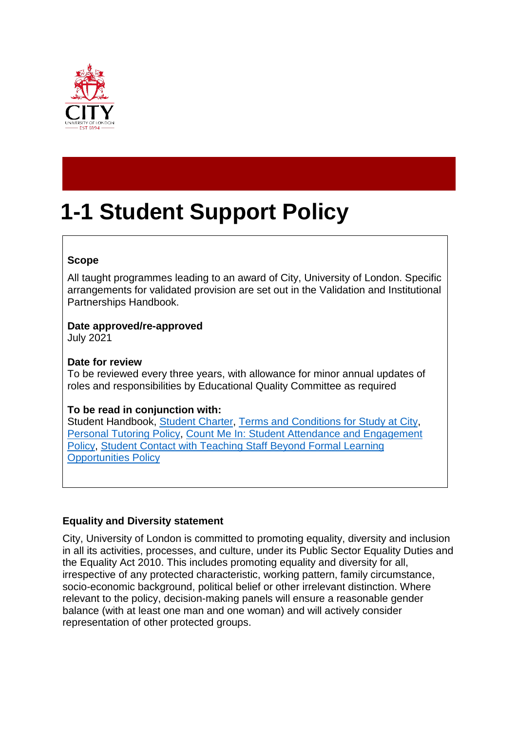

# **1-1 Student Support Policy**

### **Scope**

All taught programmes leading to an award of City, University of London. Specific arrangements for validated provision are set out in the Validation and Institutional Partnerships Handbook.

### **Date approved/re-approved**

July 2021

#### **Date for review**

To be reviewed every three years, with allowance for minor annual updates of roles and responsibilities by Educational Quality Committee as required

# **To be read in conjunction with:**

Student Handbook, [Student Charter,](https://studenthub.city.ac.uk/student-administration/student-charter) [Terms and Conditions for Study at City,](http://tps/www.city.ac.uk/about/governance/legal/terms) [Personal Tutoring Policy,](https://www.city.ac.uk/__data/assets/pdf_file/0015/333033/Personal-Tutoring-Policy.pdf) [Count Me In: Student Attendance and Engagement](https://studenthub.city.ac.uk/__data/assets/pdf_file/0010/429472/Count-Me-In-Taught-Student-Attendance-policy.pdf)  [Policy,](https://studenthub.city.ac.uk/__data/assets/pdf_file/0010/429472/Count-Me-In-Taught-Student-Attendance-policy.pdf) [Student Contact with Teaching Staff](https://www.city.ac.uk/__data/assets/pdf_file/0009/68994/Policy_on_student_contact_with_teaching_staff.pdf) Beyond Formal Learning [Opportunities](https://www.city.ac.uk/__data/assets/pdf_file/0009/68994/Policy_on_student_contact_with_teaching_staff.pdf) Policy

# **Equality and Diversity statement**

City, University of London is committed to promoting equality, diversity and inclusion in all its activities, processes, and culture, under its Public Sector Equality Duties and the Equality Act 2010. This includes promoting equality and diversity for all, irrespective of any protected characteristic, working pattern, family circumstance, socio-economic background, political belief or other irrelevant distinction. Where relevant to the policy, decision-making panels will ensure a reasonable gender balance (with at least one man and one woman) and will actively consider representation of other protected groups.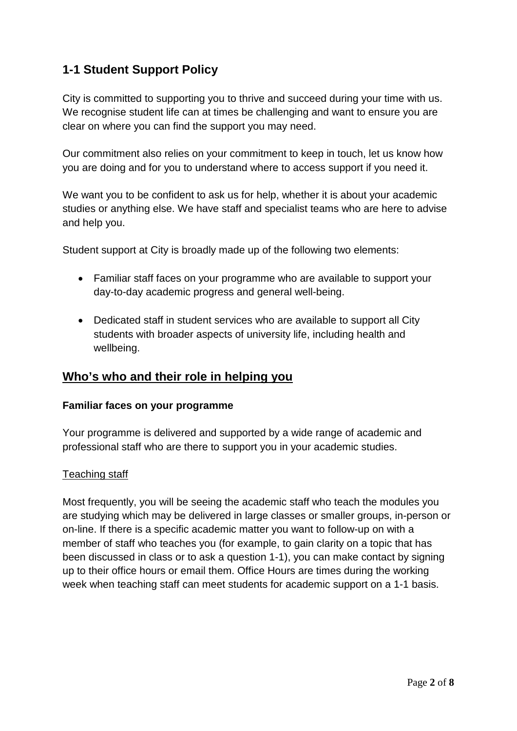# **1-1 Student Support Policy**

City is committed to supporting you to thrive and succeed during your time with us. We recognise student life can at times be challenging and want to ensure you are clear on where you can find the support you may need.

Our commitment also relies on your commitment to keep in touch, let us know how you are doing and for you to understand where to access support if you need it.

We want you to be confident to ask us for help, whether it is about your academic studies or anything else. We have staff and specialist teams who are here to advise and help you.

Student support at City is broadly made up of the following two elements:

- Familiar staff faces on your programme who are available to support your day-to-day academic progress and general well-being.
- Dedicated staff in student services who are available to support all City students with broader aspects of university life, including health and wellbeing.

# **Who's who and their role in helping you**

#### **Familiar faces on your programme**

Your programme is delivered and supported by a wide range of academic and professional staff who are there to support you in your academic studies.

#### Teaching staff

Most frequently, you will be seeing the academic staff who teach the modules you are studying which may be delivered in large classes or smaller groups, in-person or on-line. If there is a specific academic matter you want to follow-up on with a member of staff who teaches you (for example, to gain clarity on a topic that has been discussed in class or to ask a question 1-1), you can make contact by signing up to their office hours or email them. Office Hours are times during the working week when teaching staff can meet students for academic support on a 1-1 basis.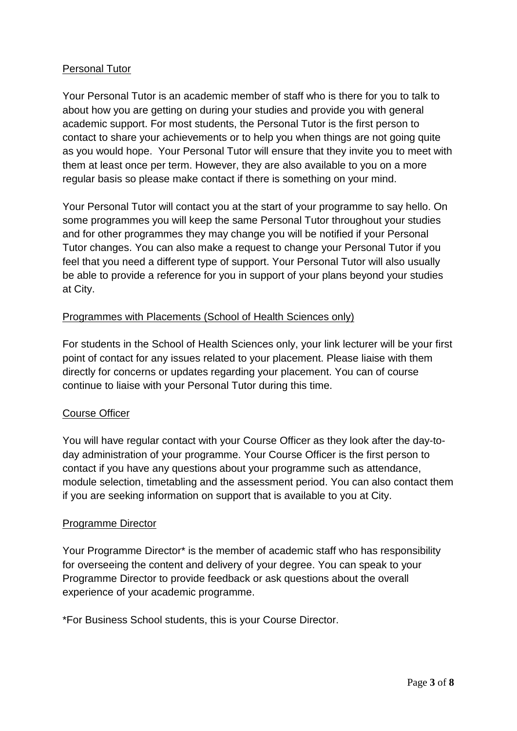# Personal Tutor

Your Personal Tutor is an academic member of staff who is there for you to talk to about how you are getting on during your studies and provide you with general academic support. For most students, the Personal Tutor is the first person to contact to share your achievements or to help you when things are not going quite as you would hope. Your Personal Tutor will ensure that they invite you to meet with them at least once per term. However, they are also available to you on a more regular basis so please make contact if there is something on your mind.

Your Personal Tutor will contact you at the start of your programme to say hello. On some programmes you will keep the same Personal Tutor throughout your studies and for other programmes they may change you will be notified if your Personal Tutor changes. You can also make a request to change your Personal Tutor if you feel that you need a different type of support. Your Personal Tutor will also usually be able to provide a reference for you in support of your plans beyond your studies at City.

# Programmes with Placements (School of Health Sciences only)

For students in the School of Health Sciences only, your link lecturer will be your first point of contact for any issues related to your placement. Please liaise with them directly for concerns or updates regarding your placement. You can of course continue to liaise with your Personal Tutor during this time.

# Course Officer

You will have regular contact with your Course Officer as they look after the day-today administration of your programme. Your Course Officer is the first person to contact if you have any questions about your programme such as attendance, module selection, timetabling and the assessment period. You can also contact them if you are seeking information on support that is available to you at City.

#### Programme Director

Your Programme Director\* is the member of academic staff who has responsibility for overseeing the content and delivery of your degree. You can speak to your Programme Director to provide feedback or ask questions about the overall experience of your academic programme.

\*For Business School students, this is your Course Director.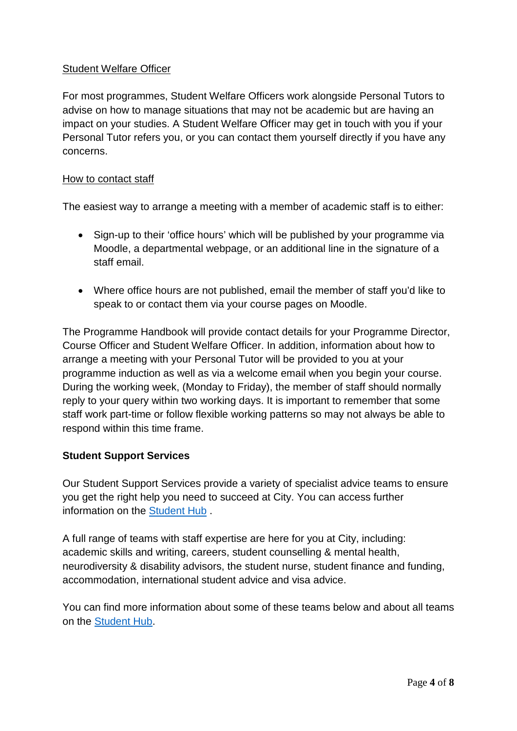# Student Welfare Officer

For most programmes, Student Welfare Officers work alongside Personal Tutors to advise on how to manage situations that may not be academic but are having an impact on your studies. A Student Welfare Officer may get in touch with you if your Personal Tutor refers you, or you can contact them yourself directly if you have any concerns.

#### How to contact staff

The easiest way to arrange a meeting with a member of academic staff is to either:

- Sign-up to their 'office hours' which will be published by your programme via Moodle, a departmental webpage, or an additional line in the signature of a staff email.
- Where office hours are not published, email the member of staff you'd like to speak to or contact them via your course pages on Moodle.

The Programme Handbook will provide contact details for your Programme Director, Course Officer and Student Welfare Officer. In addition, information about how to arrange a meeting with your Personal Tutor will be provided to you at your programme induction as well as via a welcome email when you begin your course. During the working week, (Monday to Friday), the member of staff should normally reply to your query within two working days. It is important to remember that some staff work part-time or follow flexible working patterns so may not always be able to respond within this time frame.

# **Student Support Services**

Our Student Support Services provide a variety of specialist advice teams to ensure you get the right help you need to succeed at City. You can access further information on the [Student Hub](https://studenthub.city.ac.uk/help-and-support/student-centre) .

A full range of teams with staff expertise are here for you at City, including: academic skills and writing, careers, student counselling & mental health, neurodiversity & disability advisors, the student nurse, student finance and funding, accommodation, international student advice and visa advice.

You can find more information about some of these teams below and about all teams on the [Student Hub.](https://studenthub.city.ac.uk/help-and-support/student-centre)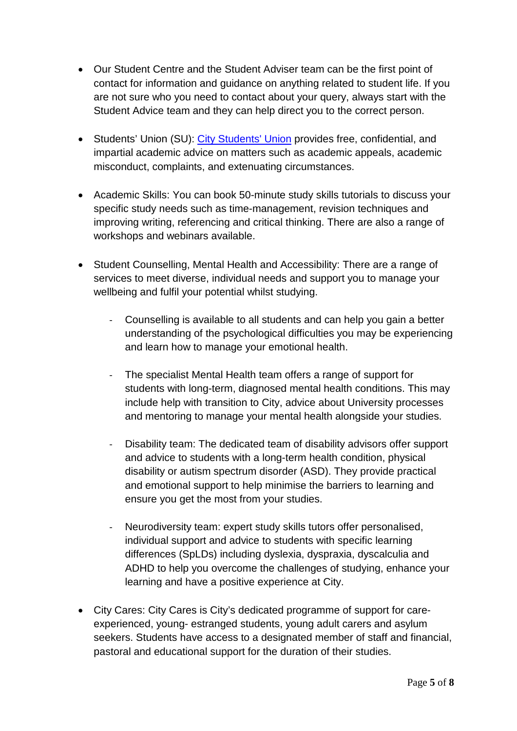- Our Student Centre and the Student Adviser team can be the first point of contact for information and guidance on anything related to student life. If you are not sure who you need to contact about your query, always start with the Student Advice team and they can help direct you to the correct person.
- Students' Union (SU): [City Students' Union](https://www.citystudents.co.uk/) provides free, confidential, and impartial academic advice on matters such as academic appeals, academic misconduct, complaints, and extenuating circumstances.
- Academic Skills: You can book 50-minute study skills tutorials to discuss your specific study needs such as time-management, revision techniques and improving writing, referencing and critical thinking. There are also a range of workshops and webinars available.
- Student Counselling, Mental Health and Accessibility: There are a range of services to meet diverse, individual needs and support you to manage your wellbeing and fulfil your potential whilst studying.
	- Counselling is available to all students and can help you gain a better understanding of the psychological difficulties you may be experiencing and learn how to manage your emotional health.
	- The specialist Mental Health team offers a range of support for students with long-term, diagnosed mental health conditions. This may include help with transition to City, advice about University processes and mentoring to manage your mental health alongside your studies.
	- Disability team: The dedicated team of disability advisors offer support and advice to students with a long-term health condition, physical disability or autism spectrum disorder (ASD). They provide practical and emotional support to help minimise the barriers to learning and ensure you get the most from your studies.
	- Neurodiversity team: expert study skills tutors offer personalised, individual support and advice to students with specific learning differences (SpLDs) including dyslexia, dyspraxia, dyscalculia and ADHD to help you overcome the challenges of studying, enhance your learning and have a positive experience at City.
- City Cares: City Cares is City's dedicated programme of support for careexperienced, young- estranged students, young adult carers and asylum seekers. Students have access to a designated member of staff and financial, pastoral and educational support for the duration of their studies.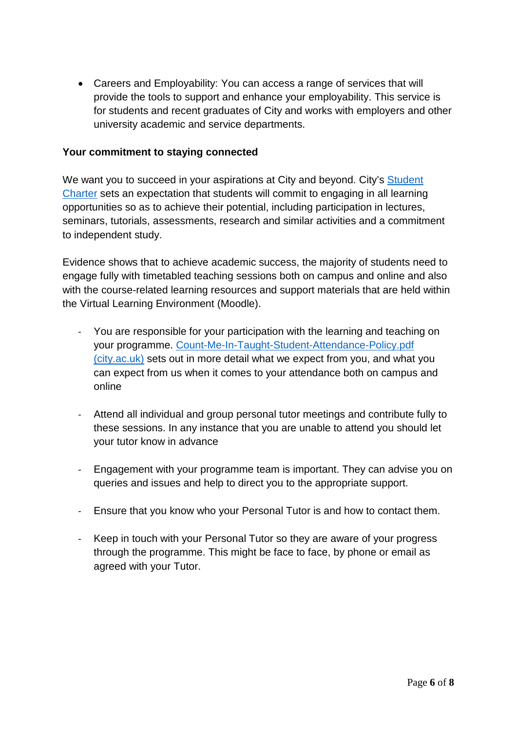• Careers and Employability: You can access a range of services that will provide the tools to support and enhance your employability. This service is for students and recent graduates of City and works with employers and other university academic and service departments.

#### **Your commitment to staying connected**

We want you to succeed in your aspirations at City and beyond. City's Student [Charter](https://studenthub.city.ac.uk/student-administration/student-charter) sets an expectation that students will commit to engaging in all learning opportunities so as to achieve their potential, including participation in lectures, seminars, tutorials, assessments, research and similar activities and a commitment to independent study.

Evidence shows that to achieve academic success, the majority of students need to engage fully with timetabled teaching sessions both on campus and online and also with the course-related learning resources and support materials that are held within the Virtual Learning Environment (Moodle).

- You are responsible for your participation with the learning and teaching on your programme. [Count-Me-In-Taught-Student-Attendance-Policy.pdf](https://www.city.ac.uk/__data/assets/pdf_file/0007/503557/Count-Me-In-Taught-Student-Attendance-Policy.pdf)  [\(city.ac.uk\)](https://www.city.ac.uk/__data/assets/pdf_file/0007/503557/Count-Me-In-Taught-Student-Attendance-Policy.pdf) sets out in more detail what we expect from you, and what you can expect from us when it comes to your attendance both on campus and online
- Attend all individual and group personal tutor meetings and contribute fully to these sessions. In any instance that you are unable to attend you should let your tutor know in advance
- Engagement with your programme team is important. They can advise you on queries and issues and help to direct you to the appropriate support.
- Ensure that you know who your Personal Tutor is and how to contact them.
- Keep in touch with your Personal Tutor so they are aware of your progress through the programme. This might be face to face, by phone or email as agreed with your Tutor.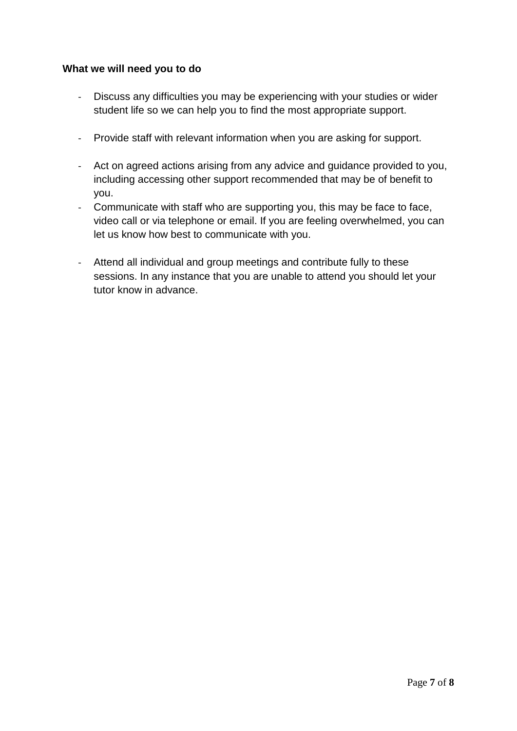### **What we will need you to do**

- Discuss any difficulties you may be experiencing with your studies or wider student life so we can help you to find the most appropriate support.
- Provide staff with relevant information when you are asking for support.
- Act on agreed actions arising from any advice and guidance provided to you, including accessing other support recommended that may be of benefit to you.
- Communicate with staff who are supporting you, this may be face to face, video call or via telephone or email. If you are feeling overwhelmed, you can let us know how best to communicate with you.
- Attend all individual and group meetings and contribute fully to these sessions. In any instance that you are unable to attend you should let your tutor know in advance.